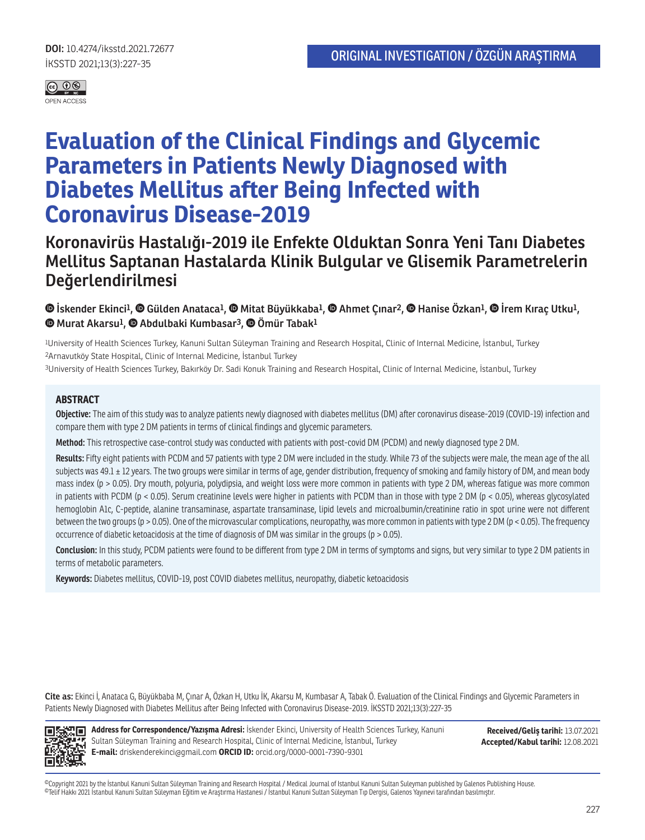

# **Evaluation of the Clinical Findings and Glycemic Parameters in Patients Newly Diagnosed with Diabetes Mellitus after Being Infected with Coronavirus Disease-2019**

# **Koronavirüs Hastalığı-2019 ile Enfekte Olduktan Sonra Yeni Tanı Diabetes Mellitus Saptanan Hastalarda Klinik Bulgular ve Glisemik Parametrelerin Değerlendirilmesi**

 **İskender Ekinci1, Gülden Anataca1, Mitat Büyükkaba1, Ahmet Çınar2,Hanise Özkan1, İrem Kıraç Utku1, Murat Akarsu1,Abdulbaki Kumbasar3, Ömür Tabak1**

1University of Health Sciences Turkey, Kanuni Sultan Süleyman Training and Research Hospital, Clinic of Internal Medicine, İstanbul, Turkey 2Arnavutköy State Hospital, Clinic of Internal Medicine, İstanbul Turkey

3University of Health Sciences Turkey, Bakırköy Dr. Sadi Konuk Training and Research Hospital, Clinic of Internal Medicine, İstanbul, Turkey

#### **ABSTRACT**

**Objective:** The aim of this study was to analyze patients newly diagnosed with diabetes mellitus (DM) after coronavirus disease-2019 (COVID-19) infection and compare them with type 2 DM patients in terms of clinical findings and glycemic parameters.

**Method:** This retrospective case-control study was conducted with patients with post-covid DM (PCDM) and newly diagnosed type 2 DM.

**Results:** Fifty eight patients with PCDM and 57 patients with type 2 DM were included in the study. While 73 of the subjects were male, the mean age of the all subjects was 49.1 ± 12 years. The two groups were similar in terms of age, gender distribution, frequency of smoking and family history of DM, and mean body mass index (p > 0.05). Dry mouth, polyuria, polydipsia, and weight loss were more common in patients with type 2 DM, whereas fatigue was more common in patients with PCDM (p < 0.05). Serum creatinine levels were higher in patients with PCDM than in those with type 2 DM (p < 0.05), whereas glycosylated hemoglobin A1c, C-peptide, alanine transaminase, aspartate transaminase, lipid levels and microalbumin/creatinine ratio in spot urine were not different between the two groups (p > 0.05). One of the microvascular complications, neuropathy, was more common in patients with type 2 DM (p < 0.05). The frequency occurrence of diabetic ketoacidosis at the time of diagnosis of DM was similar in the groups ( $p > 0.05$ ).

**Conclusion:** In this study, PCDM patients were found to be different from type 2 DM in terms of symptoms and signs, but very similar to type 2 DM patients in terms of metabolic parameters.

**Keywords:** Diabetes mellitus, COVID-19, post COVID diabetes mellitus, neuropathy, diabetic ketoacidosis

**Cite as:** Ekinci İ, Anataca G, Büyükbaba M, Çınar A, Özkan H, Utku İK, Akarsu M, Kumbasar A, Tabak Ö. Evaluation of the Clinical Findings and Glycemic Parameters in Patients Newly Diagnosed with Diabetes Mellitus after Being Infected with Coronavirus Disease-2019. İKSSTD 2021;13(3):227-35



**Address for Correspondence/Yazışma Adresi:** İskender Ekinci, University of Health Sciences Turkey, Kanuni Sultan Süleyman Training and Research Hospital, Clinic of Internal Medicine, İstanbul, Turkey **E-mail:** driskenderekinci@gmail.com **ORCID ID:** orcid.org/0000-0001-7390-9301

**Received/Geliş tarihi:** 13.07.2021 **Accepted/Kabul tarihi:** 12.08.2021

©Copyright 2021 by the İstanbul Kanuni Sultan Süleyman Training and Research Hospital / Medical Journal of Istanbul Kanuni Sultan Suleyman published by Galenos Publishing House. ©Telif Hakkı 2021 İstanbul Kanuni Sultan Süleyman Eğitim ve Araştırma Hastanesi / İstanbul Kanuni Sultan Süleyman Tıp Dergisi, Galenos Yayınevi tarafından basılmıştır.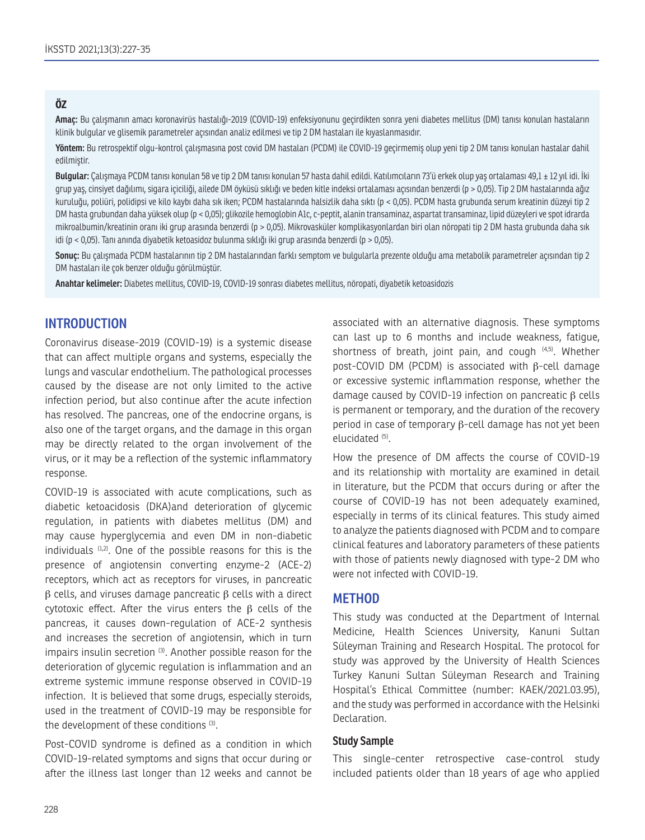#### **ÖZ**

**Amaç:** Bu çalışmanın amacı koronavirüs hastalığı-2019 (COVID-19) enfeksiyonunu geçirdikten sonra yeni diabetes mellitus (DM) tanısı konulan hastaların klinik bulgular ve glisemik parametreler açısından analiz edilmesi ve tip 2 DM hastaları ile kıyaslanmasıdır.

**Yöntem:** Bu retrospektif olgu-kontrol çalışmasına post covid DM hastaları (PCDM) ile COVID-19 geçirmemiş olup yeni tip 2 DM tanısı konulan hastalar dahil edilmiştir.

**Bulgular:** Çalışmaya PCDM tanısı konulan 58 ve tip 2 DM tanısı konulan 57 hasta dahil edildi. Katılımcıların 73'ü erkek olup yaş ortalaması 49,1 ± 12 yıl idi. İki grup yaş, cinsiyet dağılımı, sigara içiciliği, ailede DM öyküsü sıklığı ve beden kitle indeksi ortalaması açısından benzerdi (p > 0,05). Tip 2 DM hastalarında ağız kuruluğu, poliüri, polidipsi ve kilo kaybı daha sık iken; PCDM hastalarında halsizlik daha sıktı (p < 0,05). PCDM hasta grubunda serum kreatinin düzeyi tip 2 DM hasta grubundan daha yüksek olup (p < 0,05); glikozile hemoglobin A1c, c-peptit, alanin transaminaz, aspartat transaminaz, lipid düzeyleri ve spot idrarda mikroalbumin/kreatinin oranı iki grup arasında benzerdi (p > 0,05). Mikrovasküler komplikasyonlardan biri olan nöropati tip 2 DM hasta grubunda daha sık idi (p < 0,05). Tanı anında diyabetik ketoasidoz bulunma sıklığı iki grup arasında benzerdi (p > 0,05).

**Sonuç:** Bu çalışmada PCDM hastalarının tip 2 DM hastalarından farklı semptom ve bulgularla prezente olduğu ama metabolik parametreler açısından tip 2 DM hastaları ile çok benzer olduğu görülmüştür.

**Anahtar kelimeler:** Diabetes mellitus, COVID-19, COVID-19 sonrası diabetes mellitus, nöropati, diyabetik ketoasidozis

# **INTRODUCTION**

Coronavirus disease-2019 (COVID-19) is a systemic disease that can affect multiple organs and systems, especially the lungs and vascular endothelium. The pathological processes caused by the disease are not only limited to the active infection period, but also continue after the acute infection has resolved. The pancreas, one of the endocrine organs, is also one of the target organs, and the damage in this organ may be directly related to the organ involvement of the virus, or it may be a reflection of the systemic inflammatory response.

COVID-19 is associated with acute complications, such as diabetic ketoacidosis (DKA)and deterioration of glycemic regulation, in patients with diabetes mellitus (DM) and may cause hyperglycemia and even DM in non-diabetic individuals  $(1,2)$ . One of the possible reasons for this is the presence of angiotensin converting enzyme-2 (ACE-2) receptors, which act as receptors for viruses, in pancreatic  $β$  cells, and viruses damage pancreatic  $β$  cells with a direct cytotoxic effect. After the virus enters the β cells of the pancreas, it causes down-regulation of ACE-2 synthesis and increases the secretion of angiotensin, which in turn impairs insulin secretion <sup>(3)</sup>. Another possible reason for the deterioration of glycemic regulation is inflammation and an extreme systemic immune response observed in COVID-19 infection. It is believed that some drugs, especially steroids, used in the treatment of COVID-19 may be responsible for the development of these conditions (3).

Post-COVID syndrome is defined as a condition in which COVID-19-related symptoms and signs that occur during or after the illness last longer than 12 weeks and cannot be associated with an alternative diagnosis. These symptoms can last up to 6 months and include weakness, fatigue, shortness of breath, joint pain, and cough  $(4,5)$ . Whether post-COVID DM (PCDM) is associated with β-cell damage or excessive systemic inflammation response, whether the damage caused by COVID-19 infection on pancreatic β cells is permanent or temporary, and the duration of the recovery period in case of temporary β-cell damage has not yet been elucidated (5).

How the presence of DM affects the course of COVID-19 and its relationship with mortality are examined in detail in literature, but the PCDM that occurs during or after the course of COVID-19 has not been adequately examined, especially in terms of its clinical features. This study aimed to analyze the patients diagnosed with PCDM and to compare clinical features and laboratory parameters of these patients with those of patients newly diagnosed with type-2 DM who were not infected with COVID-19.

#### **METHOD**

This study was conducted at the Department of Internal Medicine, Health Sciences University, Kanuni Sultan Süleyman Training and Research Hospital. The protocol for study was approved by the University of Health Sciences Turkey Kanuni Sultan Süleyman Research and Training Hospital's Ethical Committee (number: KAEK/2021.03.95), and the study was performed in accordance with the Helsinki Declaration.

#### **Study Sample**

This single-center retrospective case-control study included patients older than 18 years of age who applied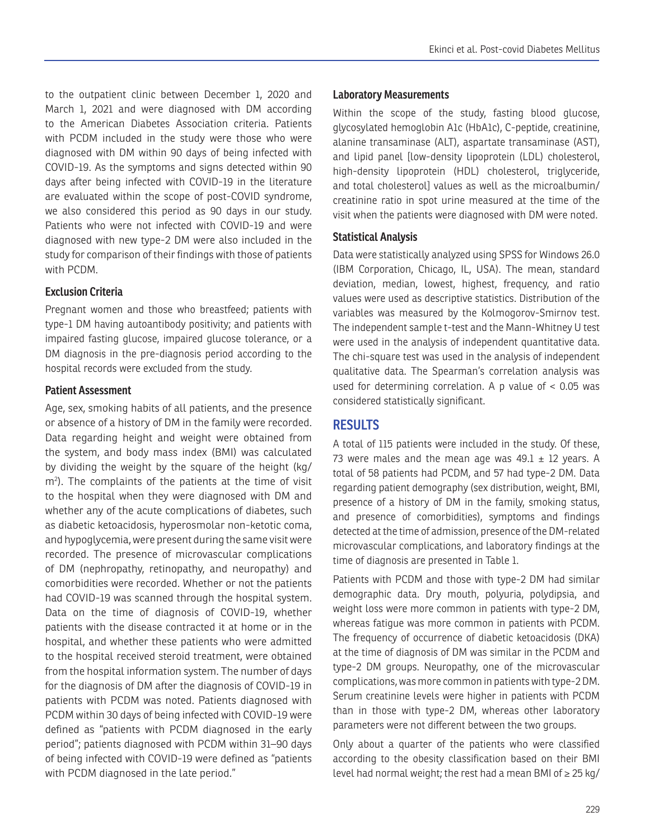to the outpatient clinic between December 1, 2020 and March 1, 2021 and were diagnosed with DM according to the American Diabetes Association criteria. Patients with PCDM included in the study were those who were diagnosed with DM within 90 days of being infected with COVID-19. As the symptoms and signs detected within 90 days after being infected with COVID-19 in the literature are evaluated within the scope of post-COVID syndrome, we also considered this period as 90 days in our study. Patients who were not infected with COVID-19 and were diagnosed with new type-2 DM were also included in the study for comparison of their findings with those of patients with PCDM.

#### **Exclusion Criteria**

Pregnant women and those who breastfeed; patients with type-1 DM having autoantibody positivity; and patients with impaired fasting glucose, impaired glucose tolerance, or a DM diagnosis in the pre-diagnosis period according to the hospital records were excluded from the study.

#### **Patient Assessment**

Age, sex, smoking habits of all patients, and the presence or absence of a history of DM in the family were recorded. Data regarding height and weight were obtained from the system, and body mass index (BMI) was calculated by dividing the weight by the square of the height (kg/ m2 ). The complaints of the patients at the time of visit to the hospital when they were diagnosed with DM and whether any of the acute complications of diabetes, such as diabetic ketoacidosis, hyperosmolar non-ketotic coma, and hypoglycemia, were present during the same visit were recorded. The presence of microvascular complications of DM (nephropathy, retinopathy, and neuropathy) and comorbidities were recorded. Whether or not the patients had COVID-19 was scanned through the hospital system. Data on the time of diagnosis of COVID-19, whether patients with the disease contracted it at home or in the hospital, and whether these patients who were admitted to the hospital received steroid treatment, were obtained from the hospital information system. The number of days for the diagnosis of DM after the diagnosis of COVID-19 in patients with PCDM was noted. Patients diagnosed with PCDM within 30 days of being infected with COVID-19 were defined as "patients with PCDM diagnosed in the early period"; patients diagnosed with PCDM within 31–90 days of being infected with COVID-19 were defined as "patients with PCDM diagnosed in the late period."

#### **Laboratory Measurements**

Within the scope of the study, fasting blood glucose, glycosylated hemoglobin A1c (HbA1c), C-peptide, creatinine, alanine transaminase (ALT), aspartate transaminase (AST), and lipid panel [low-density lipoprotein (LDL) cholesterol, high-density lipoprotein (HDL) cholesterol, triglyceride, and total cholesterol] values as well as the microalbumin/ creatinine ratio in spot urine measured at the time of the visit when the patients were diagnosed with DM were noted.

#### **Statistical Analysis**

Data were statistically analyzed using SPSS for Windows 26.0 (IBM Corporation, Chicago, IL, USA). The mean, standard deviation, median, lowest, highest, frequency, and ratio values were used as descriptive statistics. Distribution of the variables was measured by the Kolmogorov-Smirnov test. The independent sample t-test and the Mann-Whitney U test were used in the analysis of independent quantitative data. The chi-square test was used in the analysis of independent qualitative data. The Spearman's correlation analysis was used for determining correlation. A p value of < 0.05 was considered statistically significant.

## **RESULTS**

A total of 115 patients were included in the study. Of these, 73 were males and the mean age was  $49.1 \pm 12$  years. A total of 58 patients had PCDM, and 57 had type-2 DM. Data regarding patient demography (sex distribution, weight, BMI, presence of a history of DM in the family, smoking status, and presence of comorbidities), symptoms and findings detected at the time of admission, presence of the DM-related microvascular complications, and laboratory findings at the time of diagnosis are presented in Table 1.

Patients with PCDM and those with type-2 DM had similar demographic data. Dry mouth, polyuria, polydipsia, and weight loss were more common in patients with type-2 DM, whereas fatigue was more common in patients with PCDM. The frequency of occurrence of diabetic ketoacidosis (DKA) at the time of diagnosis of DM was similar in the PCDM and type-2 DM groups. Neuropathy, one of the microvascular complications, was more common in patients with type-2 DM. Serum creatinine levels were higher in patients with PCDM than in those with type-2 DM, whereas other laboratory parameters were not different between the two groups.

Only about a quarter of the patients who were classified according to the obesity classification based on their BMI level had normal weight; the rest had a mean BMI of ≥ 25 kg/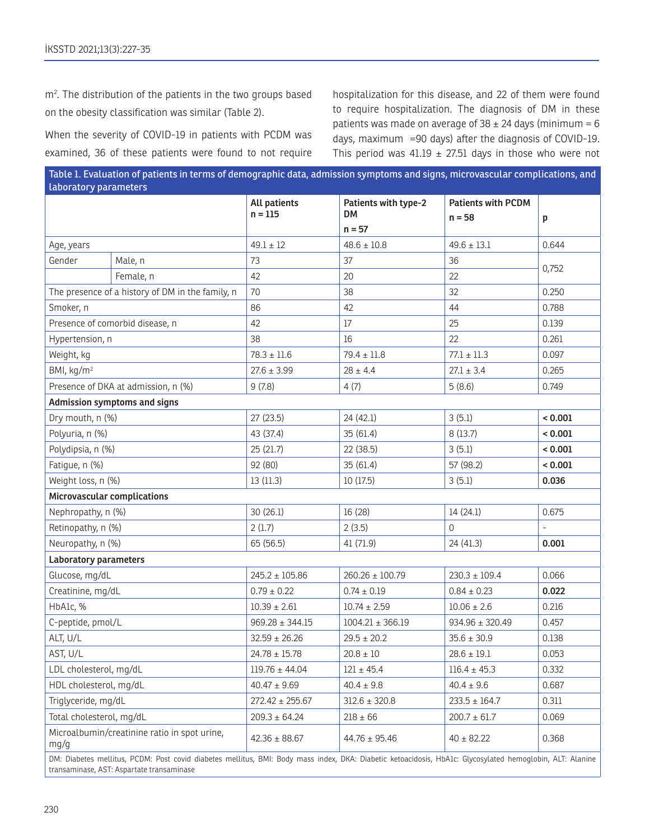m2 . The distribution of the patients in the two groups based on the obesity classification was similar (Table 2).

When the severity of COVID-19 in patients with PCDM was examined, 36 of these patients were found to not require

hospitalization for this disease, and 22 of them were found to require hospitalization. The diagnosis of DM in these patients was made on average of  $38 \pm 24$  days (minimum = 6 days, maximum =90 days) after the diagnosis of COVID-19. This period was 41.19  $\pm$  27.51 days in those who were not

| Table 1. Evaluation of patients in terms of demographic data, admission symptoms and signs, microvascular complications, and<br>laboratory parameters |                                                                                                                                                           |                                      |                                   |                           |                          |  |  |
|-------------------------------------------------------------------------------------------------------------------------------------------------------|-----------------------------------------------------------------------------------------------------------------------------------------------------------|--------------------------------------|-----------------------------------|---------------------------|--------------------------|--|--|
|                                                                                                                                                       |                                                                                                                                                           | <b>All patients</b><br>$n = 115$     | Patients with type-2<br><b>DM</b> | <b>Patients with PCDM</b> |                          |  |  |
|                                                                                                                                                       |                                                                                                                                                           |                                      | $n = 57$                          | $n = 58$                  | р                        |  |  |
| Age, years                                                                                                                                            |                                                                                                                                                           | $49.1 \pm 12$                        | $48.6 \pm 10.8$                   | $49.6 \pm 13.1$           | 0.644                    |  |  |
| Gender                                                                                                                                                | Male, n                                                                                                                                                   | 73                                   | 37                                |                           |                          |  |  |
|                                                                                                                                                       | Female, n                                                                                                                                                 | 42                                   | 20                                | 22                        | 0,752                    |  |  |
| The presence of a history of DM in the family, n                                                                                                      |                                                                                                                                                           | 70                                   | 38                                | 32                        | 0.250                    |  |  |
| Smoker, n                                                                                                                                             |                                                                                                                                                           | 86                                   | 42                                | 44                        | 0.788                    |  |  |
| Presence of comorbid disease, n                                                                                                                       |                                                                                                                                                           | 42                                   | 17                                | 25                        | 0.139                    |  |  |
| Hypertension, n                                                                                                                                       |                                                                                                                                                           | 38                                   | 16                                | 22                        | 0.261                    |  |  |
| Weight, kg                                                                                                                                            |                                                                                                                                                           | $78.3 \pm 11.6$                      | $79.4 \pm 11.8$                   | $77.1 \pm 11.3$           | 0.097                    |  |  |
| BMI, $kg/m2$                                                                                                                                          |                                                                                                                                                           | $27.6 \pm 3.99$                      | $28 \pm 4.4$                      | $27.1 \pm 3.4$            | 0.265                    |  |  |
| Presence of DKA at admission, n (%)                                                                                                                   |                                                                                                                                                           | 9(7.8)                               | 4(7)                              | 5(8.6)                    | 0.749                    |  |  |
|                                                                                                                                                       | <b>Admission symptoms and signs</b>                                                                                                                       |                                      |                                   |                           |                          |  |  |
| Dry mouth, n (%)                                                                                                                                      |                                                                                                                                                           | 27(23.5)                             | 24 (42.1)                         | 3(5.1)                    | < 0.001                  |  |  |
| Polyuria, n (%)                                                                                                                                       |                                                                                                                                                           | 43 (37.4)                            | 35 (61.4)                         | 8(13.7)                   | < 0.001                  |  |  |
| Polydipsia, n (%)                                                                                                                                     |                                                                                                                                                           | 25 (21.7)                            | 22 (38.5)                         | 3(5.1)                    | < 0.001                  |  |  |
| Fatigue, n (%)                                                                                                                                        |                                                                                                                                                           | 92 (80)                              | 35 (61.4)                         | 57 (98.2)                 | < 0.001                  |  |  |
| Weight loss, n (%)                                                                                                                                    |                                                                                                                                                           | 13(11.3)                             | 10 (17.5)                         | 3(5.1)                    | 0.036                    |  |  |
| Microvascular complications                                                                                                                           |                                                                                                                                                           |                                      |                                   |                           |                          |  |  |
| Nephropathy, n (%)                                                                                                                                    |                                                                                                                                                           | 30 (26.1)                            | 16 (28)                           | 14(24.1)                  | 0.675                    |  |  |
| Retinopathy, n (%)                                                                                                                                    |                                                                                                                                                           | 2(1.7)                               | 2(3.5)                            | $\Omega$                  | $\overline{\phantom{0}}$ |  |  |
| Neuropathy, n (%)                                                                                                                                     |                                                                                                                                                           | 65 (56.5)                            | 41 (71.9)                         | 24 (41.3)                 | 0.001                    |  |  |
| <b>Laboratory parameters</b>                                                                                                                          |                                                                                                                                                           |                                      |                                   |                           |                          |  |  |
| Glucose, mg/dL                                                                                                                                        |                                                                                                                                                           | $245.2 \pm 105.86$                   | $260.26 \pm 100.79$               | $230.3 \pm 109.4$         | 0.066                    |  |  |
| Creatinine, mg/dL                                                                                                                                     |                                                                                                                                                           | $0.79 \pm 0.22$                      | $0.74 \pm 0.19$                   | $0.84 \pm 0.23$           | 0.022                    |  |  |
| HbA1c, %                                                                                                                                              |                                                                                                                                                           | $10.39 \pm 2.61$                     | $10.74 \pm 2.59$                  | $10.06 \pm 2.6$           | 0.216                    |  |  |
| C-peptide, pmol/L                                                                                                                                     |                                                                                                                                                           | $969.28 \pm 344.15$                  | $1004.21 \pm 366.19$              | $934.96 \pm 320.49$       | 0.457                    |  |  |
| ALT, U/L                                                                                                                                              |                                                                                                                                                           | $32.59 \pm 26.26$                    | $29.5 \pm 20.2$                   | $35.6 \pm 30.9$           | 0.138                    |  |  |
| AST, U/L                                                                                                                                              |                                                                                                                                                           | $24.78 \pm 15.78$                    | $20.8 \pm 10$                     | $28.6 \pm 19.1$           | 0.053                    |  |  |
| LDL cholesterol, mg/dL                                                                                                                                |                                                                                                                                                           | $119.76 \pm 44.04$<br>$121 \pm 45.4$ |                                   | $116.4 \pm 45.3$          | 0.332                    |  |  |
|                                                                                                                                                       | HDL cholesterol, mg/dL<br>$40.47 \pm 9.69$                                                                                                                |                                      | $40.4 \pm 9.8$                    | $40.4 \pm 9.6$            |                          |  |  |
|                                                                                                                                                       | Triglyceride, mg/dL<br>$272.42 \pm 255.67$                                                                                                                |                                      | $312.6 \pm 320.8$                 | $233.5 \pm 164.7$         | 0.311                    |  |  |
| Total cholesterol, mg/dL                                                                                                                              |                                                                                                                                                           | $209.3 \pm 64.24$                    | $218 \pm 66$                      | $200.7 \pm 61.7$          | 0.069                    |  |  |
| Microalbumin/creatinine ratio in spot urine,<br>mg/g                                                                                                  |                                                                                                                                                           | $42.36 \pm 88.67$                    | $44.76 \pm 95.46$                 | $40 \pm 82.22$            | 0.368                    |  |  |
|                                                                                                                                                       | DM: Diabetes mellitus, PCDM: Post covid diabetes mellitus, BMI: Body mass index, DKA: Diabetic ketoacidosis, HbA1c: Glycosylated hemoglobin, ALT: Alanine |                                      |                                   |                           |                          |  |  |

transaminase, AST: Aspartate transaminase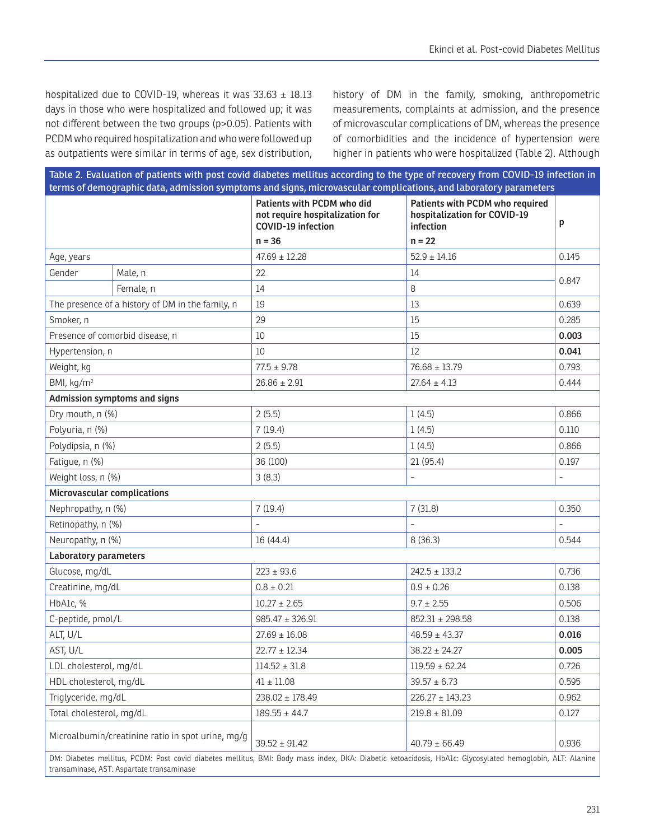hospitalized due to COVID-19, whereas it was  $33.63 \pm 18.13$ days in those who were hospitalized and followed up; it was not different between the two groups (p>0.05). Patients with PCDM who required hospitalization and who were followed up as outpatients were similar in terms of age, sex distribution,

history of DM in the family, smoking, anthropometric measurements, complaints at admission, and the presence of microvascular complications of DM, whereas the presence of comorbidities and the incidence of hypertension were higher in patients who were hospitalized (Table 2). Although

| Table 2. Evaluation of patients with post covid diabetes mellitus according to the type of recovery from COVID-19 infection in<br>terms of demographic data, admission symptoms and signs, microvascular complications, and laboratory parameters   |                                                  |                                                                                     |                                                                              |       |  |  |
|-----------------------------------------------------------------------------------------------------------------------------------------------------------------------------------------------------------------------------------------------------|--------------------------------------------------|-------------------------------------------------------------------------------------|------------------------------------------------------------------------------|-------|--|--|
|                                                                                                                                                                                                                                                     |                                                  | Patients with PCDM who did<br>not require hospitalization for<br>COVID-19 infection | Patients with PCDM who required<br>hospitalization for COVID-19<br>infection | р     |  |  |
|                                                                                                                                                                                                                                                     |                                                  | $n = 36$                                                                            | $n = 22$                                                                     |       |  |  |
| Age, years                                                                                                                                                                                                                                          |                                                  | $47.69 \pm 12.28$                                                                   | $52.9 \pm 14.16$                                                             | 0.145 |  |  |
| Gender                                                                                                                                                                                                                                              | Male, n                                          | 22                                                                                  | 14                                                                           | 0.847 |  |  |
|                                                                                                                                                                                                                                                     | Female, n                                        | 14                                                                                  | 8                                                                            |       |  |  |
|                                                                                                                                                                                                                                                     | The presence of a history of DM in the family, n | 19                                                                                  | 13                                                                           | 0.639 |  |  |
| Smoker, n                                                                                                                                                                                                                                           |                                                  | 29                                                                                  | 15                                                                           | 0.285 |  |  |
| Presence of comorbid disease, n                                                                                                                                                                                                                     |                                                  | 10                                                                                  | 15                                                                           | 0.003 |  |  |
| Hypertension, n                                                                                                                                                                                                                                     |                                                  | 10                                                                                  | 12                                                                           | 0.041 |  |  |
| Weight, kg                                                                                                                                                                                                                                          |                                                  | $77.5 \pm 9.78$                                                                     | $76.68 \pm 13.79$                                                            | 0.793 |  |  |
| BMI, kg/m <sup>2</sup>                                                                                                                                                                                                                              |                                                  | $26.86 \pm 2.91$                                                                    | $27.64 \pm 4.13$                                                             | 0.444 |  |  |
|                                                                                                                                                                                                                                                     | <b>Admission symptoms and signs</b>              |                                                                                     |                                                                              |       |  |  |
| Dry mouth, n (%)                                                                                                                                                                                                                                    |                                                  | 2(5.5)                                                                              | 1(4.5)                                                                       | 0.866 |  |  |
| Polyuria, n (%)                                                                                                                                                                                                                                     |                                                  | 7(19.4)                                                                             | 1(4.5)                                                                       | 0.110 |  |  |
| Polydipsia, n (%)                                                                                                                                                                                                                                   |                                                  | 2(5.5)                                                                              | 1(4.5)                                                                       | 0.866 |  |  |
| Fatigue, n (%)                                                                                                                                                                                                                                      |                                                  | 36 (100)                                                                            | 21 (95.4)                                                                    | 0.197 |  |  |
| Weight loss, n (%)                                                                                                                                                                                                                                  |                                                  | 3(8.3)                                                                              |                                                                              |       |  |  |
| Microvascular complications                                                                                                                                                                                                                         |                                                  |                                                                                     |                                                                              |       |  |  |
| Nephropathy, n (%)                                                                                                                                                                                                                                  |                                                  | 7(19.4)                                                                             | 7(31.8)                                                                      | 0.350 |  |  |
| Retinopathy, n (%)                                                                                                                                                                                                                                  |                                                  |                                                                                     |                                                                              |       |  |  |
| Neuropathy, n (%)                                                                                                                                                                                                                                   |                                                  | 16 (44.4)                                                                           | 8(36.3)                                                                      | 0.544 |  |  |
| <b>Laboratory parameters</b>                                                                                                                                                                                                                        |                                                  |                                                                                     |                                                                              |       |  |  |
| Glucose, mg/dL                                                                                                                                                                                                                                      |                                                  | $223 \pm 93.6$                                                                      | $242.5 \pm 133.2$                                                            | 0.736 |  |  |
| Creatinine, mg/dL                                                                                                                                                                                                                                   |                                                  | $0.8 \pm 0.21$                                                                      | $0.9 \pm 0.26$                                                               | 0.138 |  |  |
| HbA1c, %                                                                                                                                                                                                                                            |                                                  | $10.27 \pm 2.65$                                                                    | $9.7 \pm 2.55$                                                               | 0.506 |  |  |
| C-peptide, pmol/L                                                                                                                                                                                                                                   |                                                  | $985.47 \pm 326.91$                                                                 | $852.31 \pm 298.58$                                                          | 0.138 |  |  |
| ALT, U/L                                                                                                                                                                                                                                            |                                                  | $27.69 \pm 16.08$                                                                   | $48.59 \pm 43.37$                                                            | 0.016 |  |  |
| AST, U/L                                                                                                                                                                                                                                            |                                                  | $22.77 \pm 12.34$                                                                   | $38.22 \pm 24.27$                                                            | 0.005 |  |  |
| LDL cholesterol, mg/dL                                                                                                                                                                                                                              |                                                  | $114.52 \pm 31.8$                                                                   | $119.59 \pm 62.24$                                                           | 0.726 |  |  |
| HDL cholesterol, mg/dL                                                                                                                                                                                                                              |                                                  | $41 \pm 11.08$                                                                      | $39.57 \pm 6.73$                                                             | 0.595 |  |  |
| Triglyceride, mg/dL                                                                                                                                                                                                                                 |                                                  | $238.02 \pm 178.49$                                                                 | $226.27 \pm 143.23$                                                          | 0.962 |  |  |
| Total cholesterol, mg/dL                                                                                                                                                                                                                            |                                                  | $189.55 \pm 44.7$                                                                   | $219.8 \pm 81.09$                                                            | 0.127 |  |  |
| Microalbumin/creatinine ratio in spot urine, mg/g<br>$40.79 \pm 66.49$<br>$39.52 \pm 91.42$<br>NM: Diabetes mellitus PCDM: Post covid diabetes mellitus RMI: Rody mass index DKA: Diabetic ketoacidosis HbA1c: Clycosylated bemoglobin ALT: Alanine |                                                  |                                                                                     | 0.936                                                                        |       |  |  |

rbetes mellitus, BMI: Body mass index, DKA: Diabetic ketoacidosis, HbA1c: Glycosylated hemo transaminase, AST: Aspartate transaminase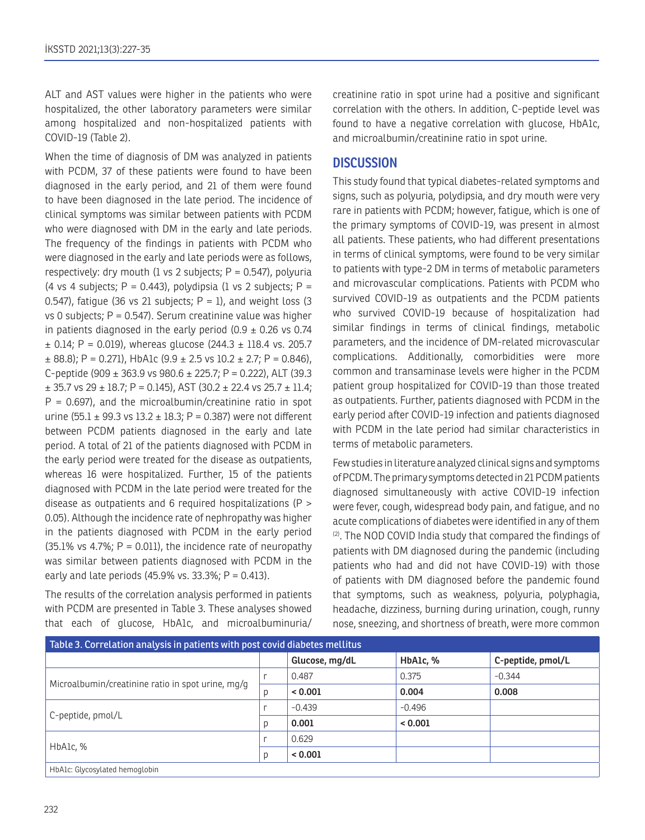ALT and AST values were higher in the patients who were hospitalized, the other laboratory parameters were similar among hospitalized and non-hospitalized patients with COVID-19 (Table 2).

When the time of diagnosis of DM was analyzed in patients with PCDM, 37 of these patients were found to have been diagnosed in the early period, and 21 of them were found to have been diagnosed in the late period. The incidence of clinical symptoms was similar between patients with PCDM who were diagnosed with DM in the early and late periods. The frequency of the findings in patients with PCDM who were diagnosed in the early and late periods were as follows, respectively: dry mouth (1 vs 2 subjects;  $P = 0.547$ ), polyuria (4 vs 4 subjects;  $P = 0.443$ ), polydipsia (1 vs 2 subjects;  $P =$ 0.547), fatigue (36 vs 21 subjects;  $P = 1$ ), and weight loss (3  $vs$  0 subjects;  $P = 0.547$ ). Serum creatinine value was higher in patients diagnosed in the early period  $(0.9 \pm 0.26 \text{ vs } 0.74)$  $\pm$  0.14; P = 0.019), whereas glucose (244.3  $\pm$  118.4 vs. 205.7  $\pm$  88.8); P = 0.271), HbA1c (9.9  $\pm$  2.5 vs 10.2  $\pm$  2.7; P = 0.846), C-peptide (909  $\pm$  363.9 vs 980.6  $\pm$  225.7; P = 0.222), ALT (39.3  $\pm$  35.7 vs 29  $\pm$  18.7; P = 0.145), AST (30.2  $\pm$  22.4 vs 25.7  $\pm$  11.4;  $P = 0.697$ , and the microalbumin/creatinine ratio in spot urine (55.1  $\pm$  99.3 vs 13.2  $\pm$  18.3; P = 0.387) were not different between PCDM patients diagnosed in the early and late period. A total of 21 of the patients diagnosed with PCDM in the early period were treated for the disease as outpatients, whereas 16 were hospitalized. Further, 15 of the patients diagnosed with PCDM in the late period were treated for the disease as outpatients and 6 required hospitalizations (P > 0.05). Although the incidence rate of nephropathy was higher in the patients diagnosed with PCDM in the early period  $(35.1\% \text{ vs } 4.7\%; P = 0.011)$ , the incidence rate of neuropathy was similar between patients diagnosed with PCDM in the early and late periods (45.9% vs. 33.3%;  $P = 0.413$ ).

The results of the correlation analysis performed in patients with PCDM are presented in Table 3. These analyses showed that each of glucose, HbA1c, and microalbuminuria/ creatinine ratio in spot urine had a positive and significant correlation with the others. In addition, C-peptide level was found to have a negative correlation with glucose, HbA1c, and microalbumin/creatinine ratio in spot urine.

# **DISCUSSION**

This study found that typical diabetes-related symptoms and signs, such as polyuria, polydipsia, and dry mouth were very rare in patients with PCDM; however, fatigue, which is one of the primary symptoms of COVID-19, was present in almost all patients. These patients, who had different presentations in terms of clinical symptoms, were found to be very similar to patients with type-2 DM in terms of metabolic parameters and microvascular complications. Patients with PCDM who survived COVID-19 as outpatients and the PCDM patients who survived COVID-19 because of hospitalization had similar findings in terms of clinical findings, metabolic parameters, and the incidence of DM-related microvascular complications. Additionally, comorbidities were more common and transaminase levels were higher in the PCDM patient group hospitalized for COVID-19 than those treated as outpatients. Further, patients diagnosed with PCDM in the early period after COVID-19 infection and patients diagnosed with PCDM in the late period had similar characteristics in terms of metabolic parameters.

Few studies in literature analyzed clinical signs and symptoms of PCDM. The primary symptoms detected in 21 PCDM patients diagnosed simultaneously with active COVID-19 infection were fever, cough, widespread body pain, and fatigue, and no acute complications of diabetes were identified in any of them (2). The NOD COVID India study that compared the findings of patients with DM diagnosed during the pandemic (including patients who had and did not have COVID-19) with those of patients with DM diagnosed before the pandemic found that symptoms, such as weakness, polyuria, polyphagia, headache, dizziness, burning during urination, cough, runny nose, sneezing, and shortness of breath, were more common

| Table 3. Correlation analysis in patients with post covid diabetes mellitus |  |                |          |                   |  |  |  |
|-----------------------------------------------------------------------------|--|----------------|----------|-------------------|--|--|--|
|                                                                             |  | Glucose, mg/dL | HbA1c, % | C-peptide, pmol/L |  |  |  |
|                                                                             |  | 0.487          | 0.375    | $-0.344$          |  |  |  |
| Microalbumin/creatinine ratio in spot urine, mg/g                           |  | < 0.001        | 0.004    | 0.008             |  |  |  |
| C-peptide, pmol/L                                                           |  | $-0.439$       | $-0.496$ |                   |  |  |  |
|                                                                             |  | 0.001          | < 0.001  |                   |  |  |  |
| HbA1c, %                                                                    |  | 0.629          |          |                   |  |  |  |
|                                                                             |  | < 0.001        |          |                   |  |  |  |
| HbA1c: Glycosylated hemoglobin                                              |  |                |          |                   |  |  |  |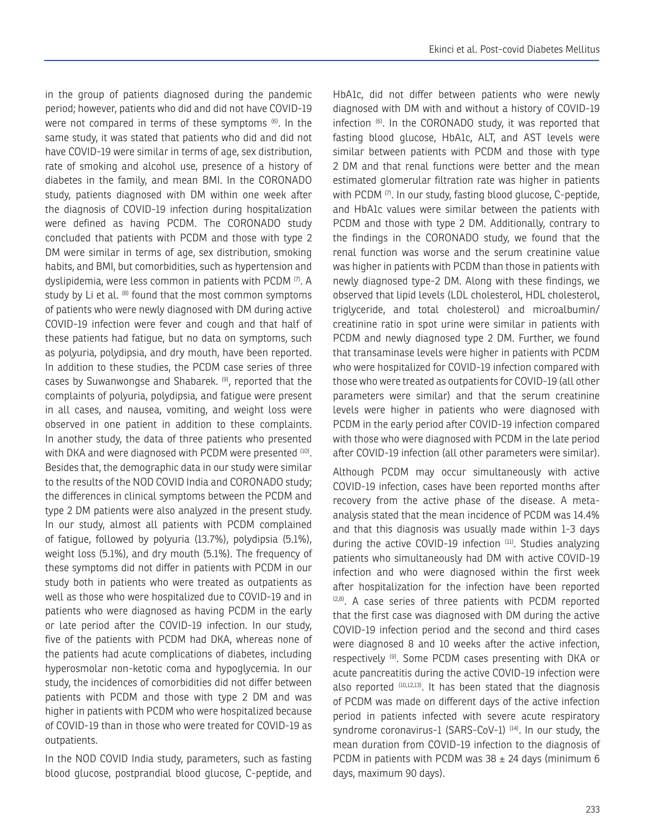in the group of patients diagnosed during the pandemic period; however, patients who did and did not have COVID-19 were not compared in terms of these symptoms (6). In the same study, it was stated that patients who did and did not have COVID-19 were similar in terms of age, sex distribution, rate of smoking and alcohol use, presence of a history of diabetes in the family, and mean BMI. In the CORONADO study, patients diagnosed with DM within one week after the diagnosis of COVID-19 infection during hospitalization were defined as having PCDM. The CORONADO study concluded that patients with PCDM and those with type 2 DM were similar in terms of age, sex distribution, smoking habits, and BMI, but comorbidities, such as hypertension and dyslipidemia, were less common in patients with PCDM (7). A study by Li et al. <sup>(8)</sup> found that the most common symptoms of patients who were newly diagnosed with DM during active COVID-19 infection were fever and cough and that half of these patients had fatigue, but no data on symptoms, such as polyuria, polydipsia, and dry mouth, have been reported. In addition to these studies, the PCDM case series of three cases by Suwanwongse and Shabarek. (9), reported that the complaints of polyuria, polydipsia, and fatigue were present in all cases, and nausea, vomiting, and weight loss were observed in one patient in addition to these complaints. In another study, the data of three patients who presented with DKA and were diagnosed with PCDM were presented (10). Besides that, the demographic data in our study were similar to the results of the NOD COVID India and CORONADO study; the differences in clinical symptoms between the PCDM and type 2 DM patients were also analyzed in the present study. In our study, almost all patients with PCDM complained of fatigue, followed by polyuria (13.7%), polydipsia (5.1%), weight loss (5.1%), and dry mouth (5.1%). The frequency of these symptoms did not differ in patients with PCDM in our study both in patients who were treated as outpatients as well as those who were hospitalized due to COVID-19 and in patients who were diagnosed as having PCDM in the early or late period after the COVID-19 infection. In our study, five of the patients with PCDM had DKA, whereas none of the patients had acute complications of diabetes, including hyperosmolar non-ketotic coma and hypoglycemia. In our study, the incidences of comorbidities did not differ between patients with PCDM and those with type 2 DM and was higher in patients with PCDM who were hospitalized because of COVID-19 than in those who were treated for COVID-19 as outpatients.

In the NOD COVID India study, parameters, such as fasting blood glucose, postprandial blood glucose, C-peptide, and HbA1c, did not differ between patients who were newly diagnosed with DM with and without a history of COVID-19 infection (6). In the CORONADO study, it was reported that fasting blood glucose, HbA1c, ALT, and AST levels were similar between patients with PCDM and those with type 2 DM and that renal functions were better and the mean estimated glomerular filtration rate was higher in patients with PCDM (7). In our study, fasting blood glucose, C-peptide, and HbA1c values were similar between the patients with PCDM and those with type 2 DM. Additionally, contrary to the findings in the CORONADO study, we found that the renal function was worse and the serum creatinine value was higher in patients with PCDM than those in patients with newly diagnosed type-2 DM. Along with these findings, we observed that lipid levels (LDL cholesterol, HDL cholesterol, triglyceride, and total cholesterol) and microalbumin/ creatinine ratio in spot urine were similar in patients with PCDM and newly diagnosed type 2 DM. Further, we found that transaminase levels were higher in patients with PCDM who were hospitalized for COVID-19 infection compared with those who were treated as outpatients for COVID-19 (all other parameters were similar) and that the serum creatinine levels were higher in patients who were diagnosed with PCDM in the early period after COVID-19 infection compared with those who were diagnosed with PCDM in the late period after COVID-19 infection (all other parameters were similar).

Although PCDM may occur simultaneously with active COVID-19 infection, cases have been reported months after recovery from the active phase of the disease. A metaanalysis stated that the mean incidence of PCDM was 14.4% and that this diagnosis was usually made within 1-3 days during the active COVID-19 infection (11). Studies analyzing patients who simultaneously had DM with active COVID-19 infection and who were diagnosed within the first week after hospitalization for the infection have been reported (2,8). A case series of three patients with PCDM reported that the first case was diagnosed with DM during the active COVID-19 infection period and the second and third cases were diagnosed 8 and 10 weeks after the active infection, respectively (9). Some PCDM cases presenting with DKA or acute pancreatitis during the active COVID-19 infection were also reported (10,12,13). It has been stated that the diagnosis of PCDM was made on different days of the active infection period in patients infected with severe acute respiratory syndrome coronavirus-1 (SARS-CoV-1)<sup>(14)</sup>. In our study, the mean duration from COVID-19 infection to the diagnosis of PCDM in patients with PCDM was  $38 \pm 24$  days (minimum 6 days, maximum 90 days).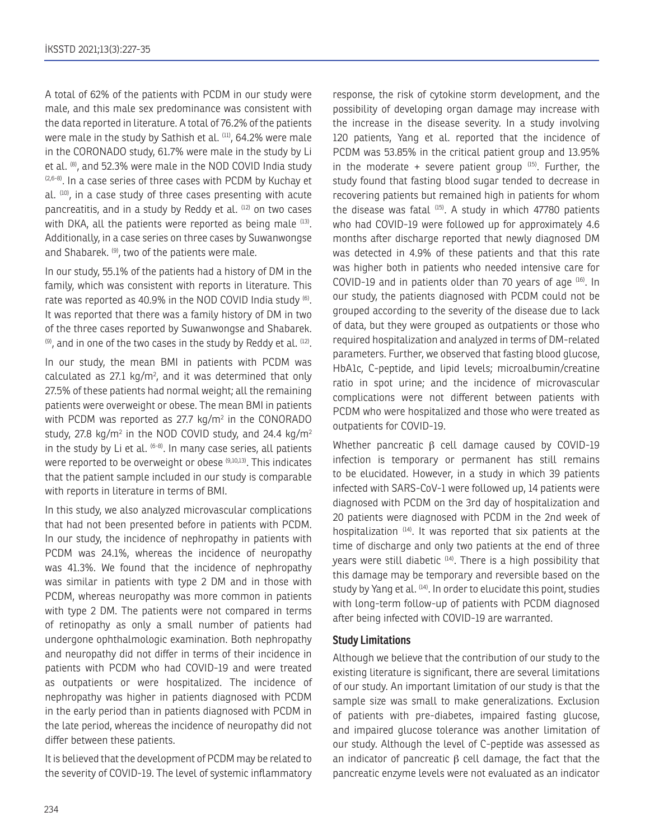A total of 62% of the patients with PCDM in our study were male, and this male sex predominance was consistent with the data reported in literature. A total of 76.2% of the patients were male in the study by Sathish et al. <sup>(11)</sup>, 64.2% were male in the CORONADO study, 61.7% were male in the study by Li et al. <sup>(8)</sup>, and 52.3% were male in the NOD COVID India study  $(2,6-8)$ . In a case series of three cases with PCDM by Kuchay et al. (10), in a case study of three cases presenting with acute pancreatitis, and in a study by Reddy et al. (12) on two cases with DKA, all the patients were reported as being male (13). Additionally, in a case series on three cases by Suwanwongse and Shabarek. (9), two of the patients were male.

In our study, 55.1% of the patients had a history of DM in the family, which was consistent with reports in literature. This rate was reported as 40.9% in the NOD COVID India study (6). It was reported that there was a family history of DM in two of the three cases reported by Suwanwongse and Shabarek.  $(9)$ , and in one of the two cases in the study by Reddy et al.  $(12)$ .

In our study, the mean BMI in patients with PCDM was calculated as  $27.1 \text{ kg/m}^2$ , and it was determined that only 27.5% of these patients had normal weight; all the remaining patients were overweight or obese. The mean BMI in patients with PCDM was reported as 27.7  $kg/m^2$  in the CONORADO study, 27.8 kg/m $^2$  in the NOD COVID study, and 24.4 kg/m $^2$ in the study by Li et al.  $(6-8)$ . In many case series, all patients were reported to be overweight or obese (9,10,13). This indicates that the patient sample included in our study is comparable with reports in literature in terms of BMI.

In this study, we also analyzed microvascular complications that had not been presented before in patients with PCDM. In our study, the incidence of nephropathy in patients with PCDM was 24.1%, whereas the incidence of neuropathy was 41.3%. We found that the incidence of nephropathy was similar in patients with type 2 DM and in those with PCDM, whereas neuropathy was more common in patients with type 2 DM. The patients were not compared in terms of retinopathy as only a small number of patients had undergone ophthalmologic examination. Both nephropathy and neuropathy did not differ in terms of their incidence in patients with PCDM who had COVID-19 and were treated as outpatients or were hospitalized. The incidence of nephropathy was higher in patients diagnosed with PCDM in the early period than in patients diagnosed with PCDM in the late period, whereas the incidence of neuropathy did not differ between these patients.

It is believed that the development of PCDM may be related to the severity of COVID-19. The level of systemic inflammatory response, the risk of cytokine storm development, and the possibility of developing organ damage may increase with the increase in the disease severity. In a study involving 120 patients, Yang et al. reported that the incidence of PCDM was 53.85% in the critical patient group and 13.95% in the moderate  $+$  severe patient group  $(15)$ . Further, the study found that fasting blood sugar tended to decrease in recovering patients but remained high in patients for whom the disease was fatal  $(15)$ . A study in which 47780 patients who had COVID-19 were followed up for approximately 4.6 months after discharge reported that newly diagnosed DM was detected in 4.9% of these patients and that this rate was higher both in patients who needed intensive care for COVID-19 and in patients older than 70 years of age (16). In our study, the patients diagnosed with PCDM could not be grouped according to the severity of the disease due to lack of data, but they were grouped as outpatients or those who required hospitalization and analyzed in terms of DM-related parameters. Further, we observed that fasting blood glucose, HbA1c, C-peptide, and lipid levels; microalbumin/creatine ratio in spot urine; and the incidence of microvascular complications were not different between patients with PCDM who were hospitalized and those who were treated as outpatients for COVID-19.

Whether pancreatic β cell damage caused by COVID-19 infection is temporary or permanent has still remains to be elucidated. However, in a study in which 39 patients infected with SARS-CoV-1 were followed up, 14 patients were diagnosed with PCDM on the 3rd day of hospitalization and 20 patients were diagnosed with PCDM in the 2nd week of hospitalization <sup>(14)</sup>. It was reported that six patients at the time of discharge and only two patients at the end of three years were still diabetic (14). There is a high possibility that this damage may be temporary and reversible based on the study by Yang et al. <sup>(14)</sup>. In order to elucidate this point, studies with long-term follow-up of patients with PCDM diagnosed after being infected with COVID-19 are warranted.

#### **Study Limitations**

Although we believe that the contribution of our study to the existing literature is significant, there are several limitations of our study. An important limitation of our study is that the sample size was small to make generalizations. Exclusion of patients with pre-diabetes, impaired fasting glucose, and impaired glucose tolerance was another limitation of our study. Although the level of C-peptide was assessed as an indicator of pancreatic  $\beta$  cell damage, the fact that the pancreatic enzyme levels were not evaluated as an indicator